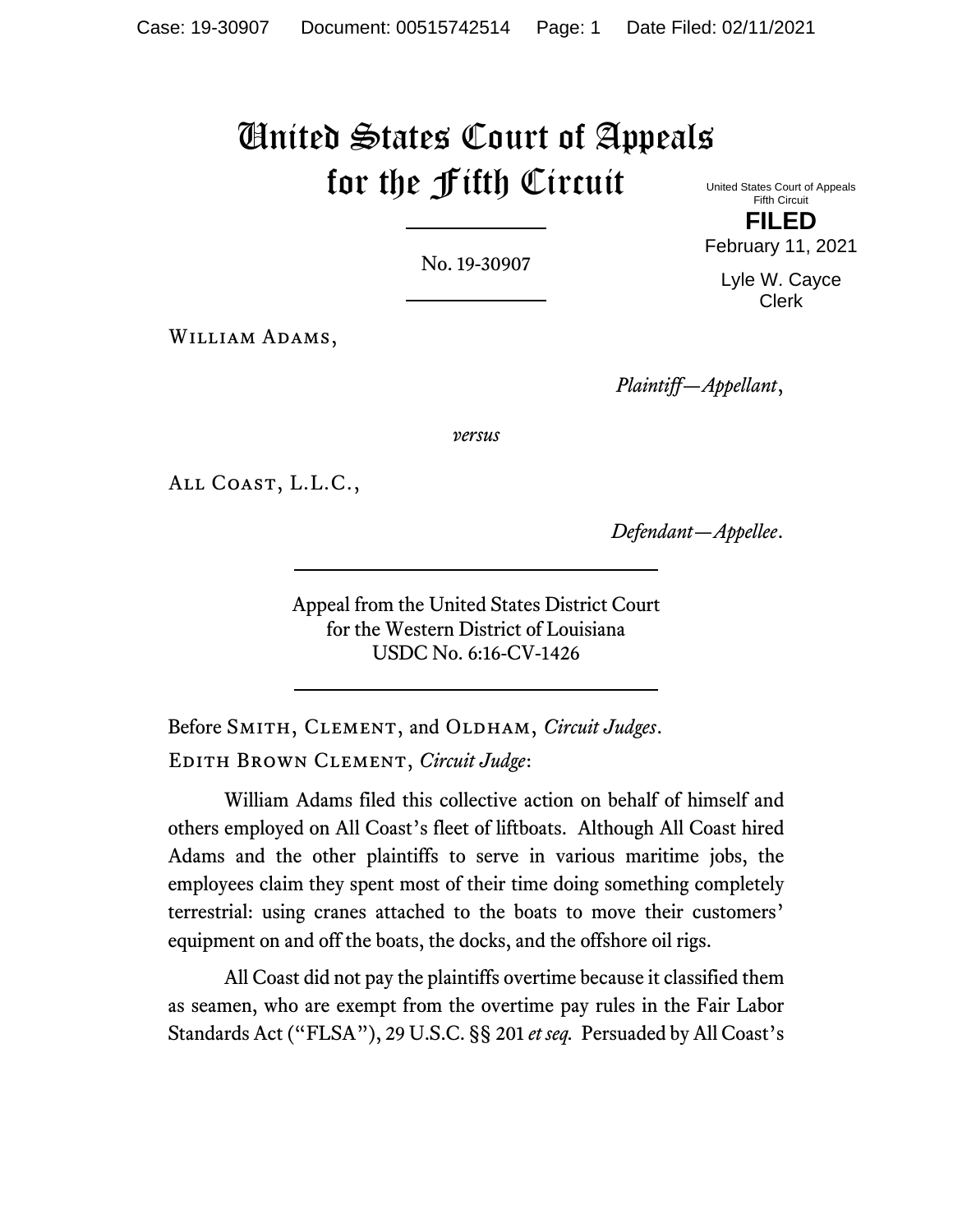# United States Court of Appeals for the Fifth Circuit

No. 19-30907

United States Court of Appeals Fifth Circuit **FILED**

February 11, 2021

Lyle W. Cayce Clerk

William Adams,

*Plaintiff—Appellant*,

*versus*

All Coast, L.L.C.,

*Defendant—Appellee*.

Appeal from the United States District Court for the Western District of Louisiana USDC No. 6:16-CV-1426

Before SMITH, CLEMENT, and OLDHAM, *Circuit Judges*. Edith Brown Clement, *Circuit Judge*:

William Adams filed this collective action on behalf of himself and others employed on All Coast's fleet of liftboats. Although All Coast hired Adams and the other plaintiffs to serve in various maritime jobs, the employees claim they spent most of their time doing something completely terrestrial: using cranes attached to the boats to move their customers' equipment on and off the boats, the docks, and the offshore oil rigs.

All Coast did not pay the plaintiffs overtime because it classified them as seamen, who are exempt from the overtime pay rules in the Fair Labor Standards Act ("FLSA"), 29 U.S.C. §§ 201 *et seq.* Persuaded by All Coast's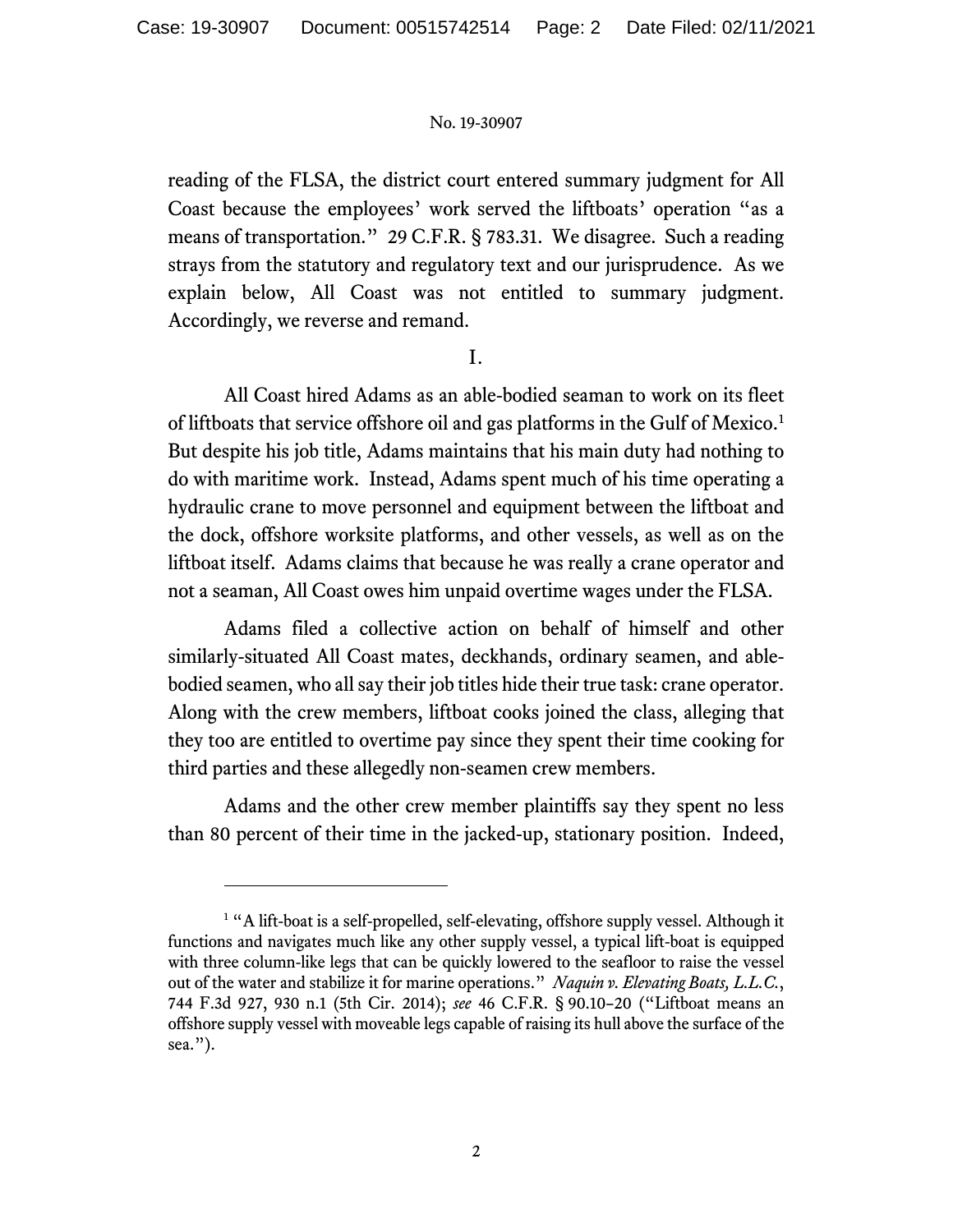reading of the FLSA, the district court entered summary judgment for All Coast because the employees' work served the liftboats' operation "as a means of transportation." 29 C.F.R. § 783.31. We disagree. Such a reading strays from the statutory and regulatory text and our jurisprudence. As we explain below, All Coast was not entitled to summary judgment. Accordingly, we reverse and remand.

I.

All Coast hired Adams as an able-bodied seaman to work on its fleet of liftboats that service offshore oil and gas platforms in the Gulf of Mexico.<sup>[1](#page-1-0)</sup> But despite his job title, Adams maintains that his main duty had nothing to do with maritime work. Instead, Adams spent much of his time operating a hydraulic crane to move personnel and equipment between the liftboat and the dock, offshore worksite platforms, and other vessels, as well as on the liftboat itself. Adams claims that because he was really a crane operator and not a seaman, All Coast owes him unpaid overtime wages under the FLSA.

Adams filed a collective action on behalf of himself and other similarly-situated All Coast mates, deckhands, ordinary seamen, and ablebodied seamen, who all say their job titles hide their true task: crane operator. Along with the crew members, liftboat cooks joined the class, alleging that they too are entitled to overtime pay since they spent their time cooking for third parties and these allegedly non-seamen crew members.

Adams and the other crew member plaintiffs say they spent no less than 80 percent of their time in the jacked-up, stationary position. Indeed,

<span id="page-1-0"></span><sup>&</sup>lt;sup>1</sup> "A lift-boat is a self-propelled, self-elevating, offshore supply vessel. Although it functions and navigates much like any other supply vessel, a typical lift-boat is equipped with three column-like legs that can be quickly lowered to the seafloor to raise the vessel out of the water and stabilize it for marine operations." *Naquin v. Elevating Boats, L.L.C.*, 744 F.3d 927, 930 n.1 (5th Cir. 2014); *see* 46 C.F.R. § 90.10–20 ("Liftboat means an offshore supply vessel with moveable legs capable of raising its hull above the surface of the sea.").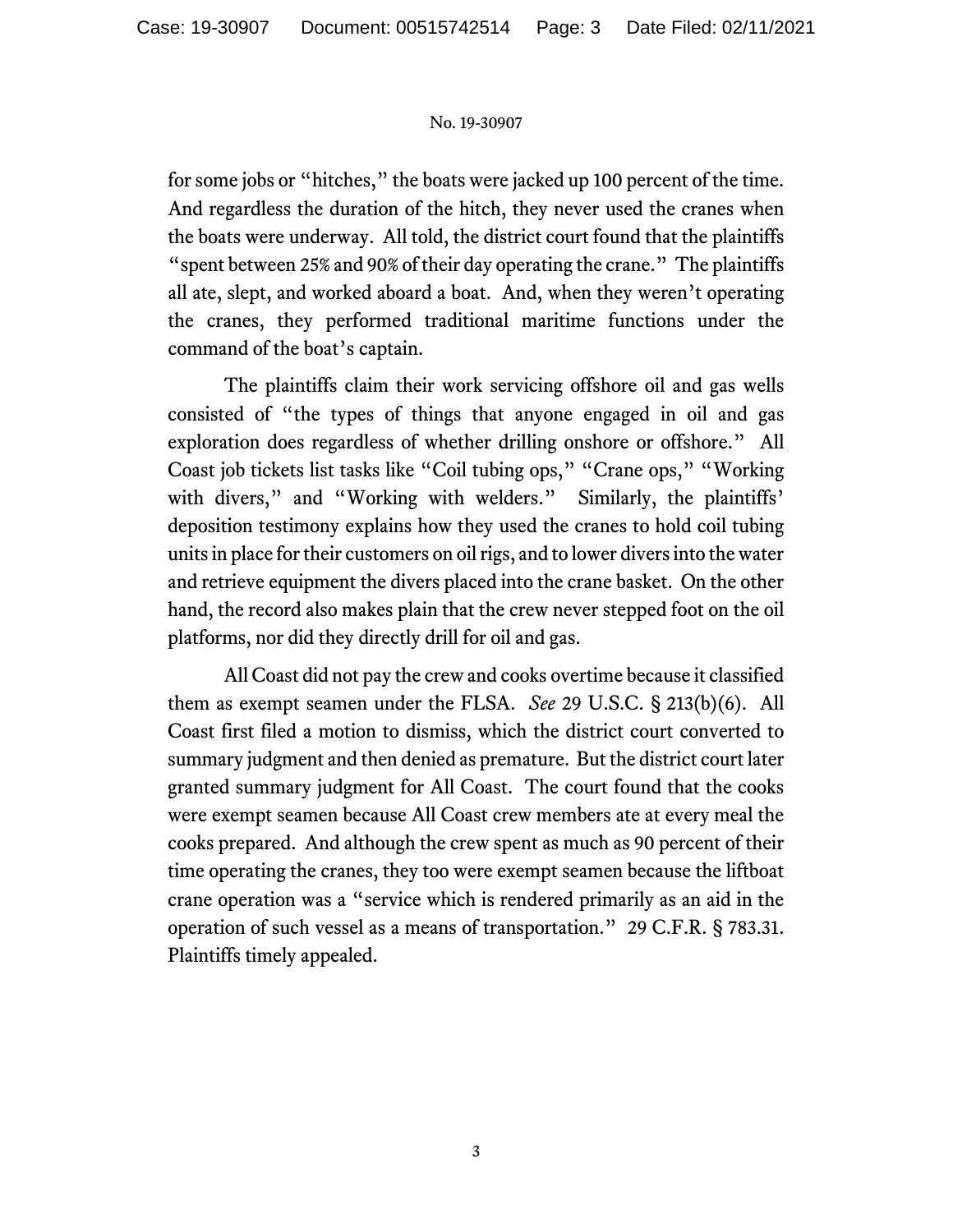for some jobs or "hitches," the boats were jacked up 100 percent of the time. And regardless the duration of the hitch, they never used the cranes when the boats were underway. All told, the district court found that the plaintiffs "spent between 25% and 90% of their day operating the crane." The plaintiffs all ate, slept, and worked aboard a boat. And, when they weren't operating the cranes, they performed traditional maritime functions under the command of the boat's captain.

The plaintiffs claim their work servicing offshore oil and gas wells consisted of "the types of things that anyone engaged in oil and gas exploration does regardless of whether drilling onshore or offshore." All Coast job tickets list tasks like "Coil tubing ops," "Crane ops," "Working with divers," and "Working with welders." Similarly, the plaintiffs' deposition testimony explains how they used the cranes to hold coil tubing units in place for their customers on oil rigs, and to lower divers into the water and retrieve equipment the divers placed into the crane basket. On the other hand, the record also makes plain that the crew never stepped foot on the oil platforms, nor did they directly drill for oil and gas.

All Coast did not pay the crew and cooks overtime because it classified them as exempt seamen under the FLSA. *See* 29 U.S.C. § 213(b)(6). All Coast first filed a motion to dismiss, which the district court converted to summary judgment and then denied as premature. But the district court later granted summary judgment for All Coast. The court found that the cooks were exempt seamen because All Coast crew members ate at every meal the cooks prepared. And although the crew spent as much as 90 percent of their time operating the cranes, they too were exempt seamen because the liftboat crane operation was a "service which is rendered primarily as an aid in the operation of such vessel as a means of transportation." 29 C.F.R. § 783.31. Plaintiffs timely appealed.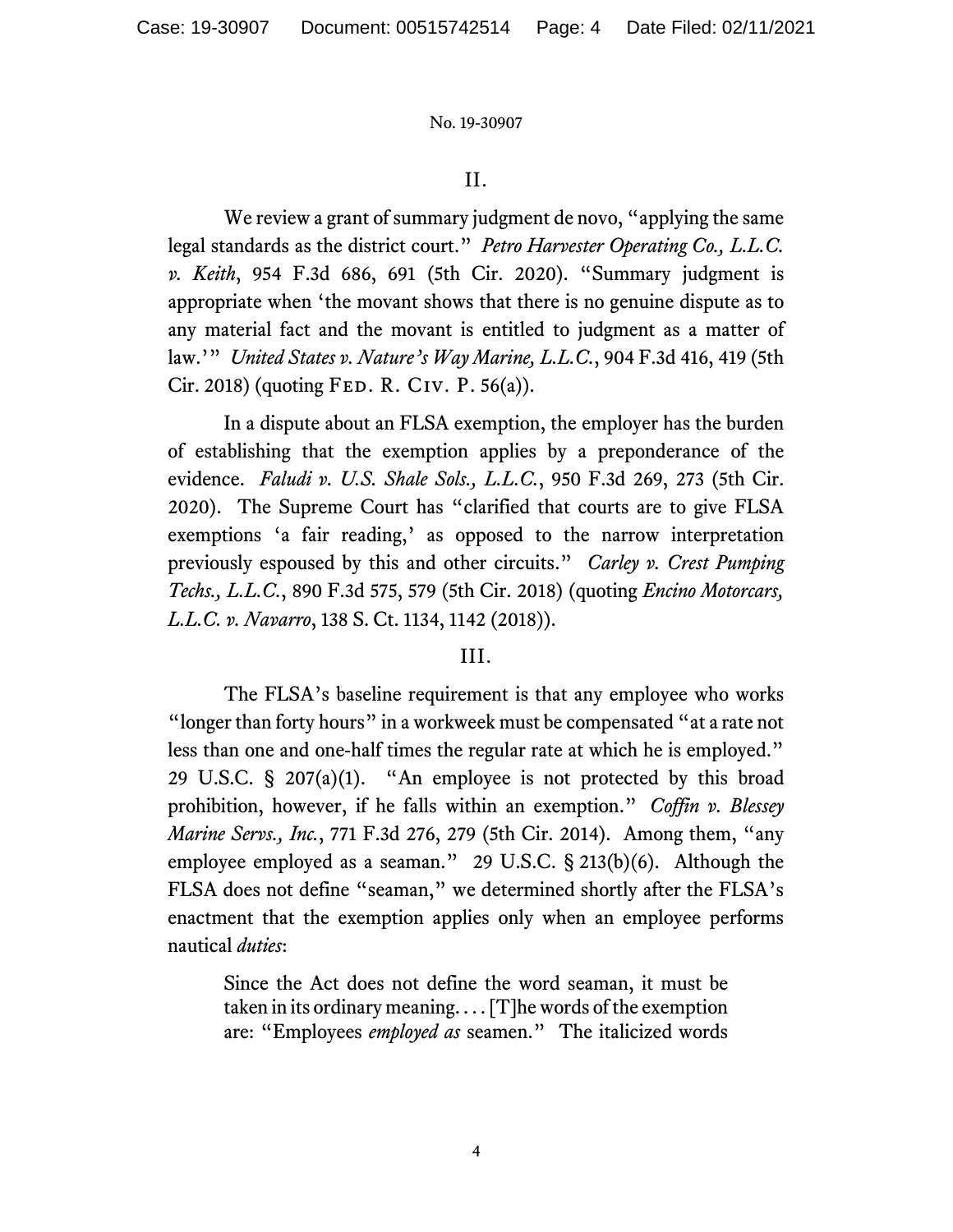## II.

We review a grant of summary judgment de novo, "applying the same" legal standards as the district court." *Petro Harvester Operating Co., L.L.C. v. Keith*, 954 F.3d 686, 691 (5th Cir. 2020). "Summary judgment is appropriate when 'the movant shows that there is no genuine dispute as to any material fact and the movant is entitled to judgment as a matter of law.'" *United States v. Nature's Way Marine, L.L.C.*, 904 F.3d 416, 419 (5th  $Cir. 2018$  (quoting FED. R. CIV. P. 56(a)).

In a dispute about an FLSA exemption, the employer has the burden of establishing that the exemption applies by a preponderance of the evidence. *Faludi v. U.S. Shale Sols., L.L.C.*, 950 F.3d 269, 273 (5th Cir. 2020). The Supreme Court has "clarified that courts are to give FLSA exemptions 'a fair reading,' as opposed to the narrow interpretation previously espoused by this and other circuits." *Carley v. Crest Pumping Techs., L.L.C.*, 890 F.3d 575, 579 (5th Cir. 2018) (quoting *Encino Motorcars, L.L.C. v. Navarro*, 138 S. Ct. 1134, 1142 (2018)).

## III.

The FLSA's baseline requirement is that any employee who works "longer than forty hours" in a workweek must be compensated "at a rate not less than one and one-half times the regular rate at which he is employed." 29 U.S.C. § 207(a)(1). "An employee is not protected by this broad prohibition, however, if he falls within an exemption." *Coffin v. Blessey Marine Servs., Inc.*, 771 F.3d 276, 279 (5th Cir. 2014). Among them, "any employee employed as a seaman." 29 U.S.C. § 213(b)(6). Although the FLSA does not define "seaman," we determined shortly after the FLSA's enactment that the exemption applies only when an employee performs nautical *duties*:

Since the Act does not define the word seaman, it must be taken in its ordinary meaning. . . . [T]he words of the exemption are: "Employees *employed as* seamen." The italicized words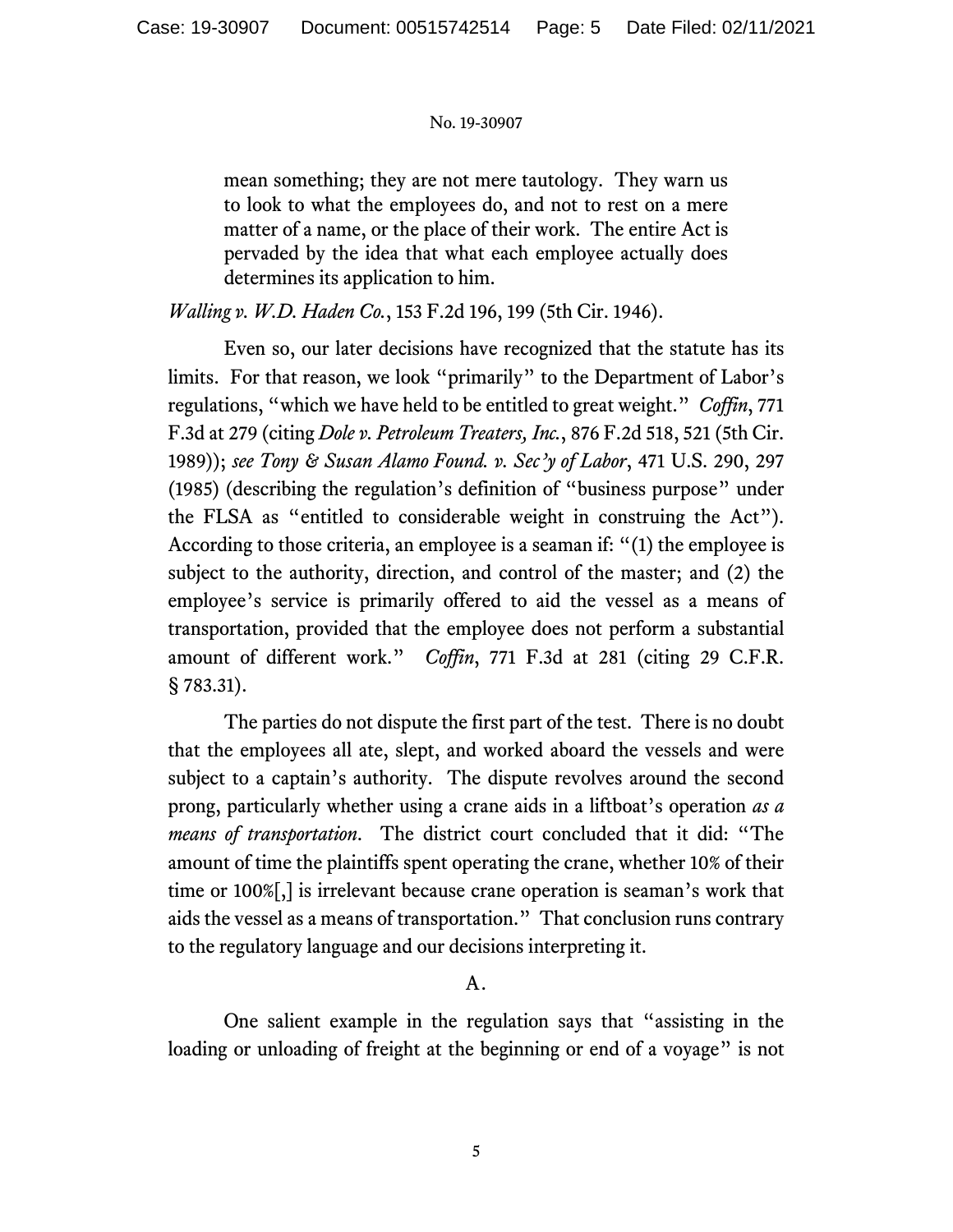mean something; they are not mere tautology. They warn us to look to what the employees do, and not to rest on a mere matter of a name, or the place of their work. The entire Act is pervaded by the idea that what each employee actually does determines its application to him.

*Walling v. W.D. Haden Co.*, 153 F.2d 196, 199 (5th Cir. 1946).

Even so, our later decisions have recognized that the statute has its limits. For that reason, we look "primarily" to the Department of Labor's regulations, "which we have held to be entitled to great weight." *Coffin*, 771 F.3d at 279 (citing *Dole v. Petroleum Treaters, Inc.*, 876 F.2d 518, 521 (5th Cir. 1989)); *see Tony & Susan Alamo Found. v. Sec'y of Labor*, 471 U.S. 290, 297 (1985) (describing the regulation's definition of "business purpose" under the FLSA as "entitled to considerable weight in construing the Act"). According to those criteria, an employee is a seaman if: "(1) the employee is subject to the authority, direction, and control of the master; and (2) the employee's service is primarily offered to aid the vessel as a means of transportation, provided that the employee does not perform a substantial amount of different work." *Coffin*, 771 F.3d at 281 (citing 29 C.F.R. § 783.31).

The parties do not dispute the first part of the test. There is no doubt that the employees all ate, slept, and worked aboard the vessels and were subject to a captain's authority. The dispute revolves around the second prong, particularly whether using a crane aids in a liftboat's operation *as a means of transportation*. The district court concluded that it did: "The amount of time the plaintiffs spent operating the crane, whether 10% of their time or 100%[,] is irrelevant because crane operation is seaman's work that aids the vessel as a means of transportation." That conclusion runs contrary to the regulatory language and our decisions interpreting it.

## A.

One salient example in the regulation says that "assisting in the loading or unloading of freight at the beginning or end of a voyage" is not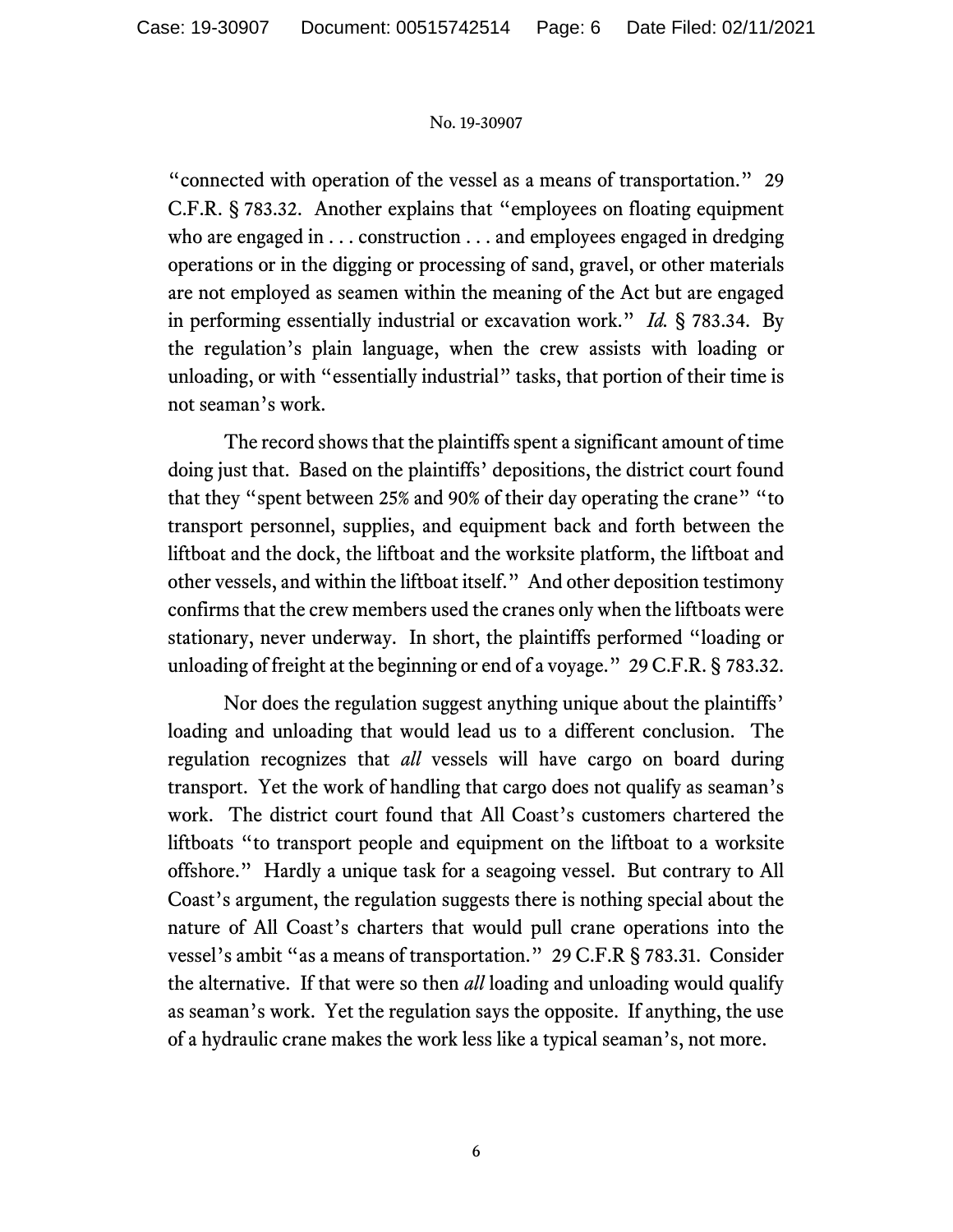"connected with operation of the vessel as a means of transportation." 29 C.F.R. § 783.32. Another explains that "employees on floating equipment who are engaged in . . . construction . . . and employees engaged in dredging operations or in the digging or processing of sand, gravel, or other materials are not employed as seamen within the meaning of the Act but are engaged in performing essentially industrial or excavation work." *Id.* § 783.34. By the regulation's plain language, when the crew assists with loading or unloading, or with "essentially industrial" tasks, that portion of their time is not seaman's work.

The record shows that the plaintiffs spent a significant amount of time doing just that. Based on the plaintiffs' depositions, the district court found that they "spent between 25% and 90% of their day operating the crane" "to transport personnel, supplies, and equipment back and forth between the liftboat and the dock, the liftboat and the worksite platform, the liftboat and other vessels, and within the liftboat itself." And other deposition testimony confirms that the crew members used the cranes only when the liftboats were stationary, never underway. In short, the plaintiffs performed "loading or unloading of freight at the beginning or end of a voyage." 29 C.F.R. § 783.32.

Nor does the regulation suggest anything unique about the plaintiffs' loading and unloading that would lead us to a different conclusion. The regulation recognizes that *all* vessels will have cargo on board during transport. Yet the work of handling that cargo does not qualify as seaman's work. The district court found that All Coast's customers chartered the liftboats "to transport people and equipment on the liftboat to a worksite offshore." Hardly a unique task for a seagoing vessel. But contrary to All Coast's argument, the regulation suggests there is nothing special about the nature of All Coast's charters that would pull crane operations into the vessel's ambit "as a means of transportation." 29 C.F.R § 783.31. Consider the alternative. If that were so then *all* loading and unloading would qualify as seaman's work. Yet the regulation says the opposite. If anything, the use of a hydraulic crane makes the work less like a typical seaman's, not more.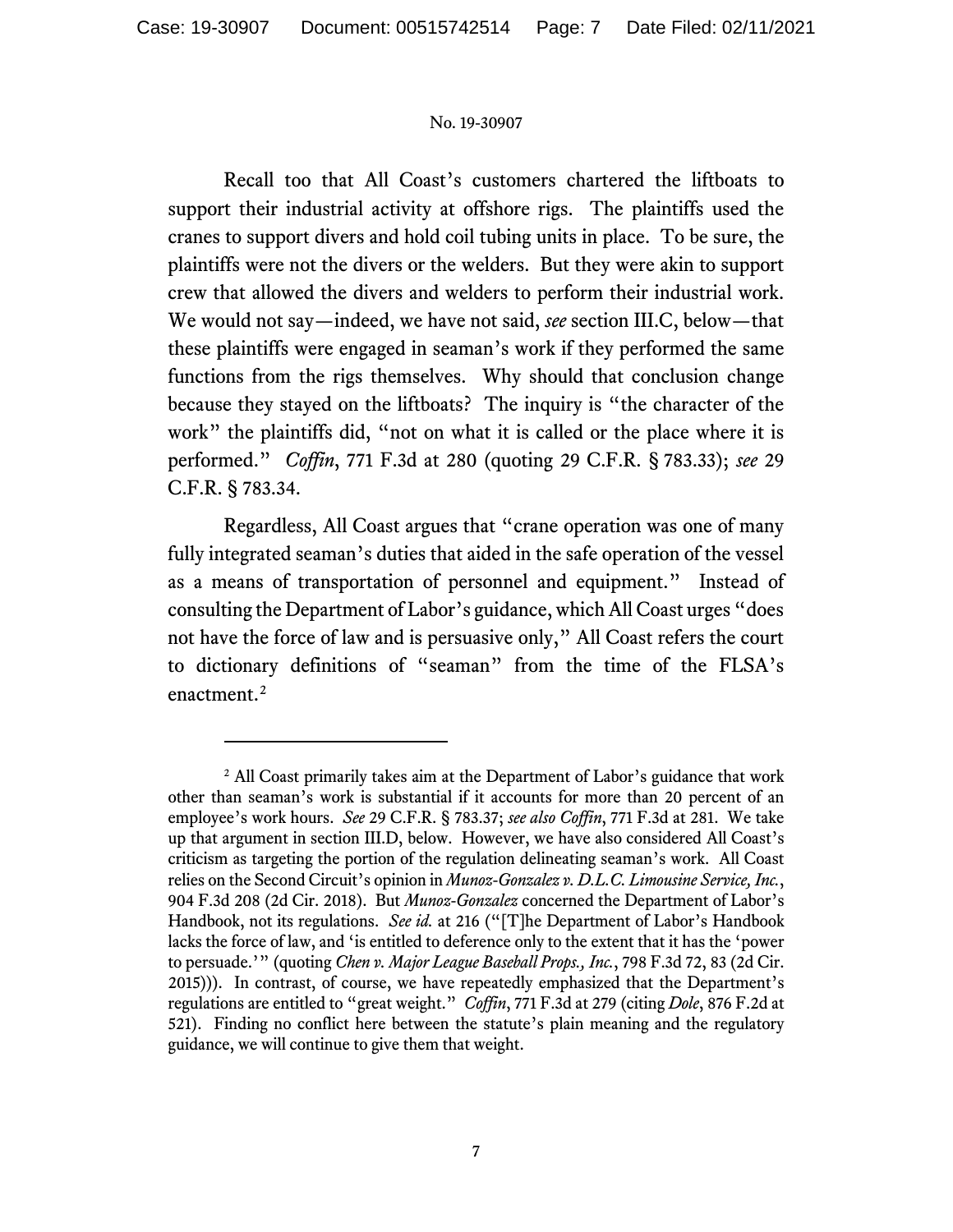Recall too that All Coast's customers chartered the liftboats to support their industrial activity at offshore rigs. The plaintiffs used the cranes to support divers and hold coil tubing units in place. To be sure, the plaintiffs were not the divers or the welders. But they were akin to support crew that allowed the divers and welders to perform their industrial work. We would not say—indeed, we have not said, *see* section III.C, below—that these plaintiffs were engaged in seaman's work if they performed the same functions from the rigs themselves. Why should that conclusion change because they stayed on the liftboats? The inquiry is "the character of the work" the plaintiffs did, "not on what it is called or the place where it is performed." *Coffin*, 771 F.3d at 280 (quoting 29 C.F.R. § 783.33); *see* 29 C.F.R. § 783.34.

Regardless, All Coast argues that "crane operation was one of many fully integrated seaman's duties that aided in the safe operation of the vessel as a means of transportation of personnel and equipment." Instead of consulting the Department of Labor's guidance, which All Coast urges "does not have the force of law and is persuasive only," All Coast refers the court to dictionary definitions of "seaman" from the time of the FLSA's enactment.<sup>[2](#page-6-0)</sup>

<span id="page-6-0"></span><sup>&</sup>lt;sup>2</sup> All Coast primarily takes aim at the Department of Labor's guidance that work other than seaman's work is substantial if it accounts for more than 20 percent of an employee's work hours. *See* 29 C.F.R. § 783.37; *see also Coffin*, 771 F.3d at 281. We take up that argument in section III.D, below. However, we have also considered All Coast's criticism as targeting the portion of the regulation delineating seaman's work. All Coast relies on the Second Circuit's opinion in *Munoz-Gonzalez v. D.L.C. Limousine Service, Inc.*, 904 F.3d 208 (2d Cir. 2018). But *Munoz-Gonzalez* concerned the Department of Labor's Handbook, not its regulations. *See id.* at 216 ("[T]he Department of Labor's Handbook lacks the force of law, and 'is entitled to deference only to the extent that it has the 'power to persuade.'" (quoting *Chen v. Major League Baseball Props., Inc.*, 798 F.3d 72, 83 (2d Cir. 2015))). In contrast, of course, we have repeatedly emphasized that the Department's regulations are entitled to "great weight." *Coffin*, 771 F.3d at 279 (citing *Dole*, 876 F.2d at 521). Finding no conflict here between the statute's plain meaning and the regulatory guidance, we will continue to give them that weight.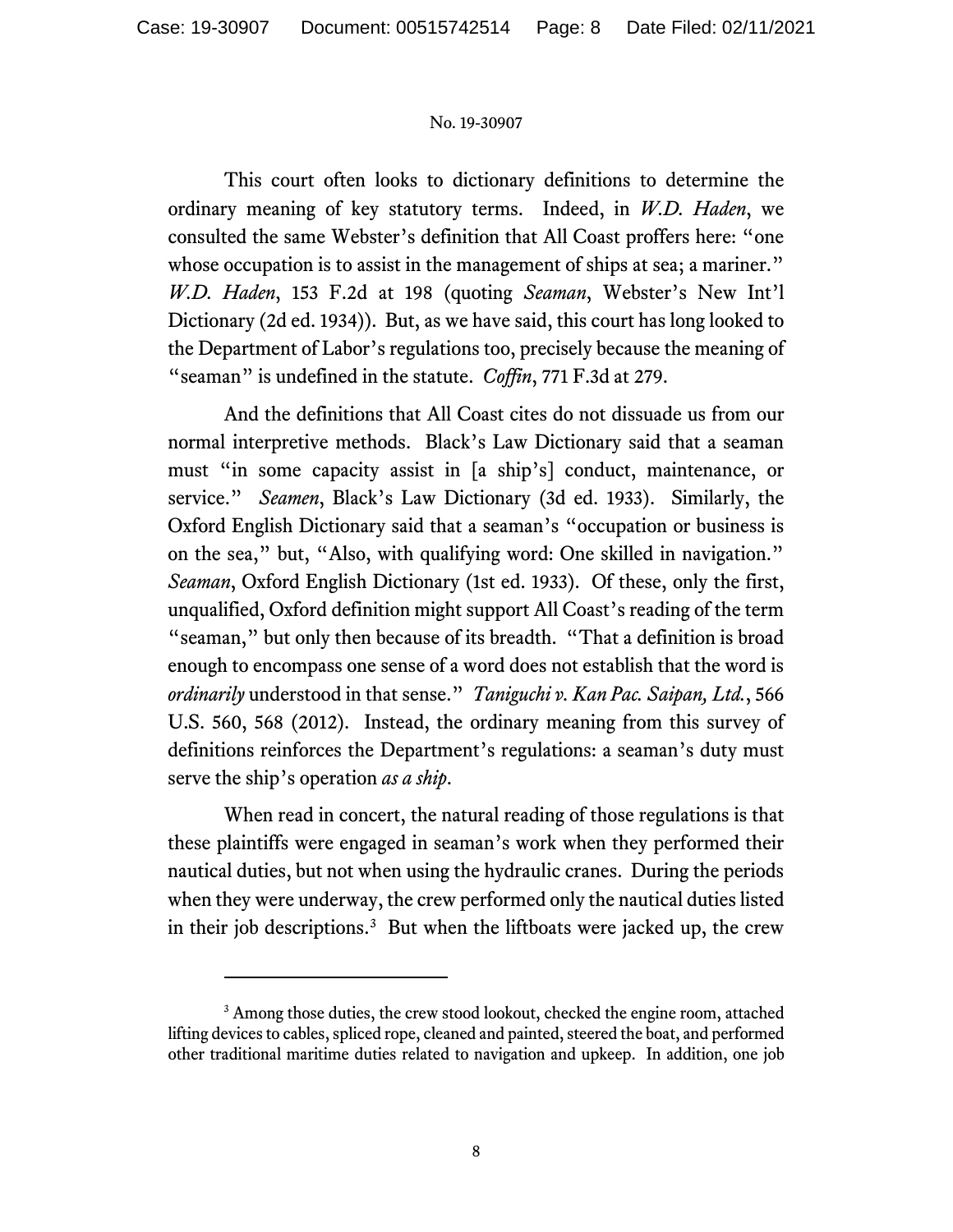This court often looks to dictionary definitions to determine the ordinary meaning of key statutory terms. Indeed, in *W.D. Haden*, we consulted the same Webster's definition that All Coast proffers here: "one whose occupation is to assist in the management of ships at sea; a mariner." *W.D. Haden*, 153 F.2d at 198 (quoting *Seaman*, Webster's New Int'l Dictionary (2d ed. 1934)). But, as we have said, this court has long looked to the Department of Labor's regulations too, precisely because the meaning of "seaman" is undefined in the statute. *Coffin*, 771 F.3d at 279.

And the definitions that All Coast cites do not dissuade us from our normal interpretive methods. Black's Law Dictionary said that a seaman must "in some capacity assist in [a ship's] conduct, maintenance, or service." *Seamen*, Black's Law Dictionary (3d ed. 1933). Similarly, the Oxford English Dictionary said that a seaman's "occupation or business is on the sea," but, "Also, with qualifying word: One skilled in navigation." *Seaman*, Oxford English Dictionary (1st ed. 1933). Of these, only the first, unqualified, Oxford definition might support All Coast's reading of the term "seaman," but only then because of its breadth. "That a definition is broad enough to encompass one sense of a word does not establish that the word is *ordinarily* understood in that sense." *Taniguchi v. Kan Pac. Saipan, Ltd.*, 566 U.S. 560, 568 (2012). Instead, the ordinary meaning from this survey of definitions reinforces the Department's regulations: a seaman's duty must serve the ship's operation *as a ship*.

When read in concert, the natural reading of those regulations is that these plaintiffs were engaged in seaman's work when they performed their nautical duties, but not when using the hydraulic cranes. During the periods when they were underway, the crew performed only the nautical duties listed in their job descriptions.<sup>[3](#page-7-0)</sup> But when the liftboats were jacked up, the crew

<span id="page-7-0"></span><sup>&</sup>lt;sup>3</sup> Among those duties, the crew stood lookout, checked the engine room, attached lifting devices to cables, spliced rope, cleaned and painted, steered the boat, and performed other traditional maritime duties related to navigation and upkeep. In addition, one job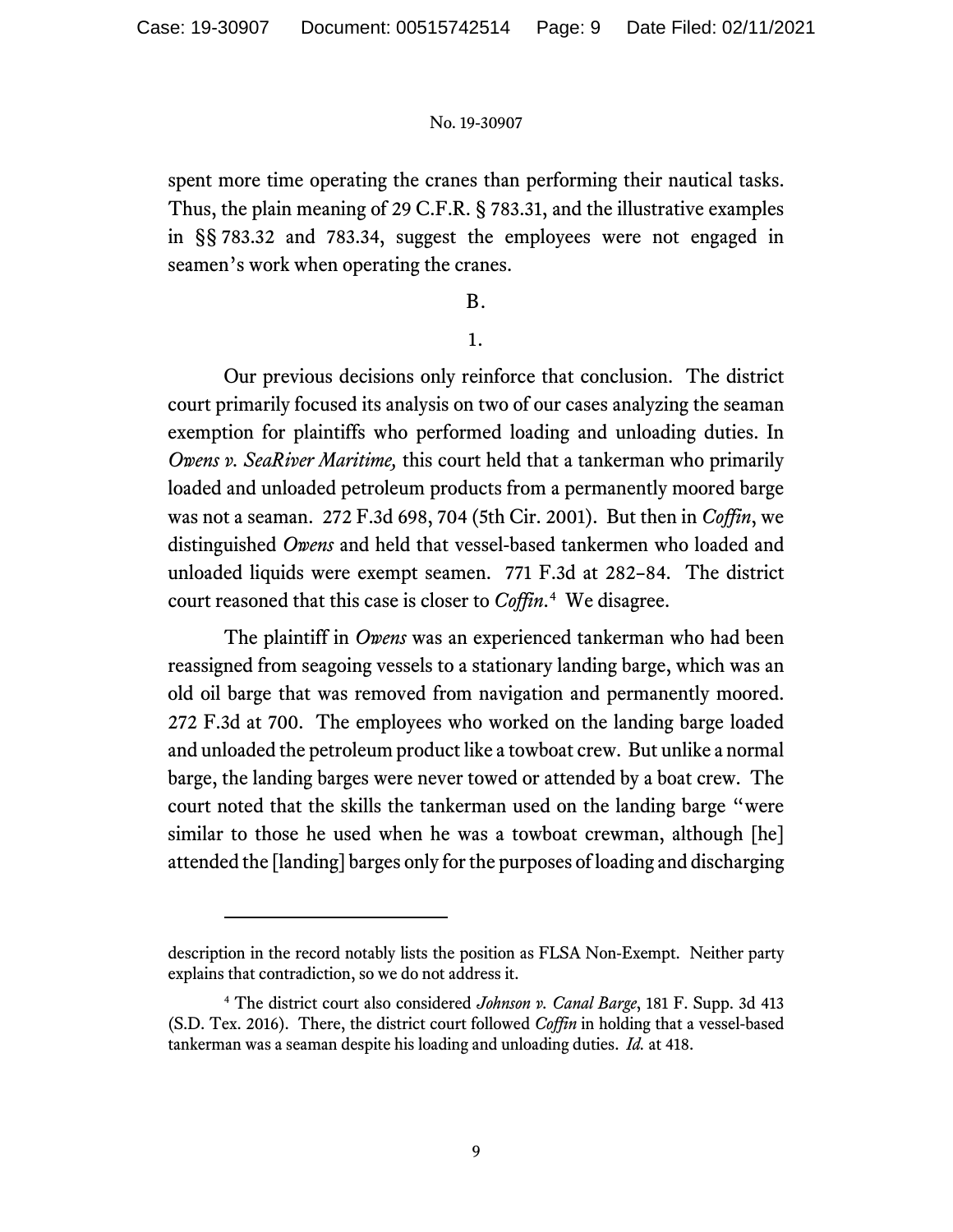spent more time operating the cranes than performing their nautical tasks. Thus, the plain meaning of 29 C.F.R. § 783.31, and the illustrative examples in §§ 783.32 and 783.34, suggest the employees were not engaged in seamen's work when operating the cranes.

## B.

#### 1.

Our previous decisions only reinforce that conclusion. The district court primarily focused its analysis on two of our cases analyzing the seaman exemption for plaintiffs who performed loading and unloading duties. In *Owens v. SeaRiver Maritime,* this court held that a tankerman who primarily loaded and unloaded petroleum products from a permanently moored barge was not a seaman. 272 F.3d 698, 704 (5th Cir. 2001). But then in *Coffin*, we distinguished *Owens* and held that vessel-based tankermen who loaded and unloaded liquids were exempt seamen. 771 F.3d at 282–84. The district court reasoned that this case is closer to *Coffin*. [4](#page-8-0) We disagree.

The plaintiff in *Owens* was an experienced tankerman who had been reassigned from seagoing vessels to a stationary landing barge, which was an old oil barge that was removed from navigation and permanently moored. 272 F.3d at 700. The employees who worked on the landing barge loaded and unloaded the petroleum product like a towboat crew. But unlike a normal barge, the landing barges were never towed or attended by a boat crew. The court noted that the skills the tankerman used on the landing barge "were similar to those he used when he was a towboat crewman, although [he] attended the [landing] barges only for the purposes of loading and discharging

description in the record notably lists the position as FLSA Non-Exempt. Neither party explains that contradiction, so we do not address it.

<span id="page-8-0"></span><sup>4</sup> The district court also considered *Johnson v. Canal Barge*, 181 F. Supp. 3d 413 (S.D. Tex. 2016). There, the district court followed *Coffin* in holding that a vessel-based tankerman was a seaman despite his loading and unloading duties. *Id.* at 418.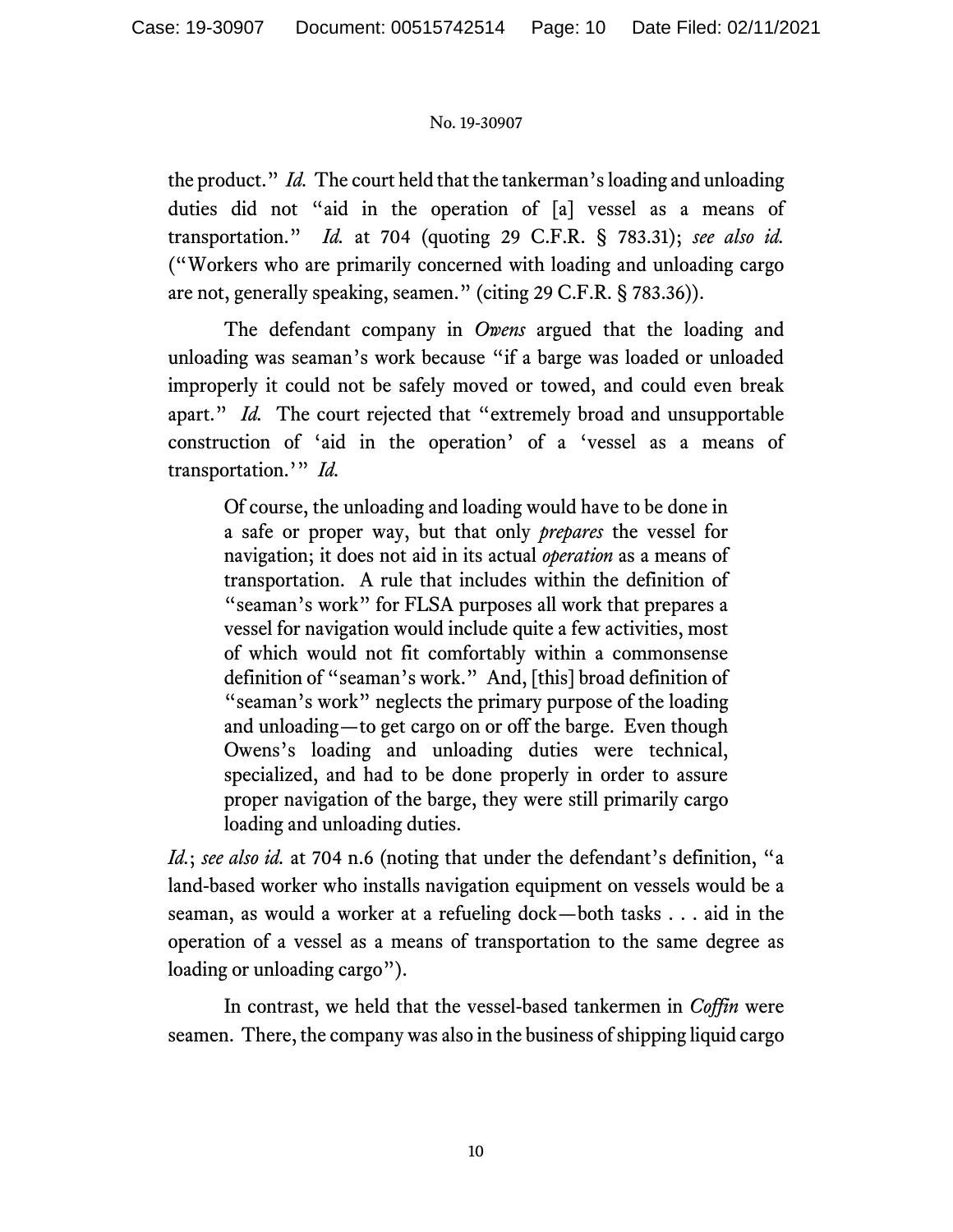the product." *Id.* The court held that the tankerman's loading and unloading duties did not "aid in the operation of [a] vessel as a means of transportation." *Id.* at 704 (quoting 29 C.F.R. § 783.31); *see also id.* ("Workers who are primarily concerned with loading and unloading cargo are not, generally speaking, seamen." (citing 29 C.F.R. § 783.36)).

The defendant company in *Owens* argued that the loading and unloading was seaman's work because "if a barge was loaded or unloaded improperly it could not be safely moved or towed, and could even break apart." *Id.* The court rejected that "extremely broad and unsupportable construction of 'aid in the operation' of a 'vessel as a means of transportation.'" *Id.*

Of course, the unloading and loading would have to be done in a safe or proper way, but that only *prepares* the vessel for navigation; it does not aid in its actual *operation* as a means of transportation. A rule that includes within the definition of "seaman's work" for FLSA purposes all work that prepares a vessel for navigation would include quite a few activities, most of which would not fit comfortably within a commonsense definition of "seaman's work." And, [this] broad definition of "seaman's work" neglects the primary purpose of the loading and unloading—to get cargo on or off the barge. Even though Owens's loading and unloading duties were technical, specialized, and had to be done properly in order to assure proper navigation of the barge, they were still primarily cargo loading and unloading duties.

*Id.*; *see also id.* at 704 n.6 (noting that under the defendant's definition, "a land-based worker who installs navigation equipment on vessels would be a seaman, as would a worker at a refueling dock—both tasks . . . aid in the operation of a vessel as a means of transportation to the same degree as loading or unloading cargo").

In contrast, we held that the vessel-based tankermen in *Coffin* were seamen. There, the company was also in the business of shipping liquid cargo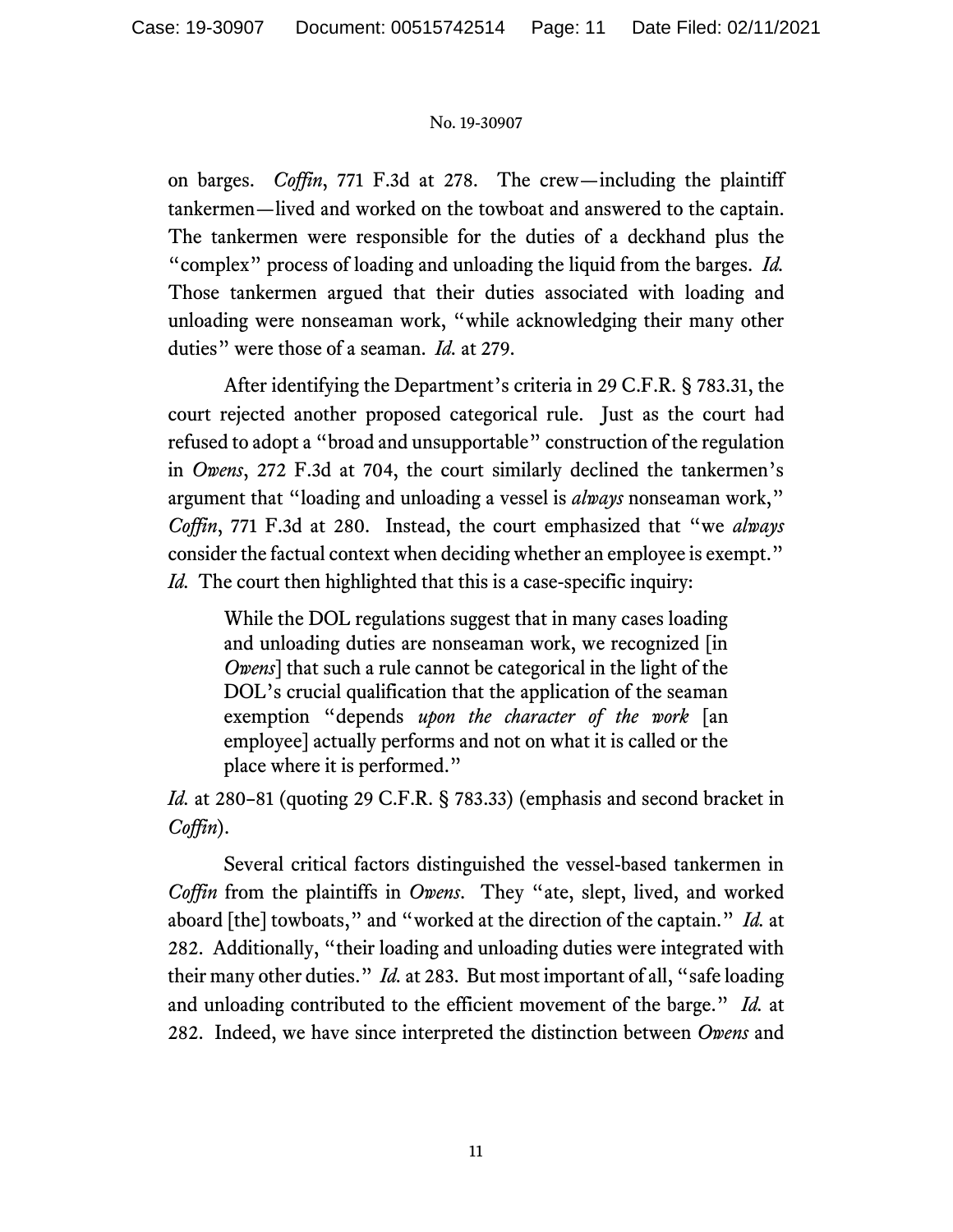on barges. *Coffin*, 771 F.3d at 278. The crew—including the plaintiff tankermen—lived and worked on the towboat and answered to the captain. The tankermen were responsible for the duties of a deckhand plus the "complex" process of loading and unloading the liquid from the barges. *Id.* Those tankermen argued that their duties associated with loading and unloading were nonseaman work, "while acknowledging their many other duties" were those of a seaman. *Id.* at 279.

After identifying the Department's criteria in 29 C.F.R. § 783.31, the court rejected another proposed categorical rule. Just as the court had refused to adopt a "broad and unsupportable" construction of the regulation in *Owens*, 272 F.3d at 704, the court similarly declined the tankermen's argument that "loading and unloading a vessel is *always* nonseaman work," *Coffin*, 771 F.3d at 280. Instead, the court emphasized that "we *always* consider the factual context when deciding whether an employee is exempt." *Id.* The court then highlighted that this is a case-specific inquiry:

While the DOL regulations suggest that in many cases loading and unloading duties are nonseaman work, we recognized [in *Owens*] that such a rule cannot be categorical in the light of the DOL's crucial qualification that the application of the seaman exemption "depends *upon the character of the work* [an employee] actually performs and not on what it is called or the place where it is performed."

*Id.* at 280–81 (quoting 29 C.F.R. § 783.33) (emphasis and second bracket in *Coffin*).

Several critical factors distinguished the vessel-based tankermen in *Coffin* from the plaintiffs in *Owens*. They "ate, slept, lived, and worked aboard [the] towboats," and "worked at the direction of the captain." *Id.* at 282. Additionally, "their loading and unloading duties were integrated with their many other duties." *Id.* at 283. But most important of all, "safe loading and unloading contributed to the efficient movement of the barge." *Id.* at 282. Indeed, we have since interpreted the distinction between *Owens* and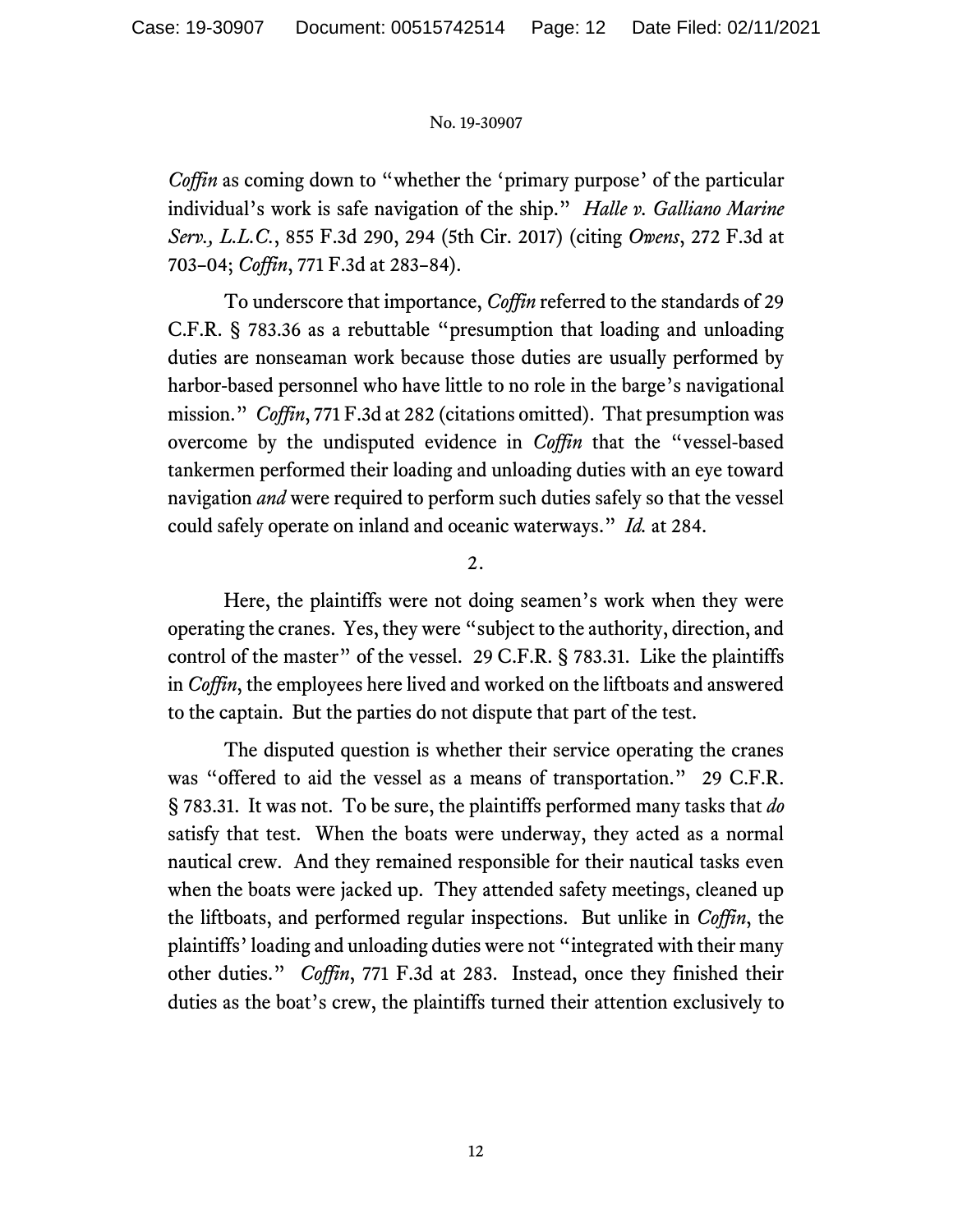*Coffin* as coming down to "whether the 'primary purpose' of the particular individual's work is safe navigation of the ship." *Halle v. Galliano Marine Serv., L.L.C.*, 855 F.3d 290, 294 (5th Cir. 2017) (citing *Owens*, 272 F.3d at 703–04; *Coffin*, 771 F.3d at 283–84).

To underscore that importance, *Coffin* referred to the standards of 29 C.F.R. § 783.36 as a rebuttable "presumption that loading and unloading duties are nonseaman work because those duties are usually performed by harbor-based personnel who have little to no role in the barge's navigational mission." *Coffin*, 771 F.3d at 282 (citations omitted). That presumption was overcome by the undisputed evidence in *Coffin* that the "vessel-based tankermen performed their loading and unloading duties with an eye toward navigation *and* were required to perform such duties safely so that the vessel could safely operate on inland and oceanic waterways." *Id.* at 284.

2.

Here, the plaintiffs were not doing seamen's work when they were operating the cranes. Yes, they were "subject to the authority, direction, and control of the master" of the vessel. 29 C.F.R. § 783.31. Like the plaintiffs in *Coffin*, the employees here lived and worked on the liftboats and answered to the captain. But the parties do not dispute that part of the test.

The disputed question is whether their service operating the cranes was "offered to aid the vessel as a means of transportation." 29 C.F.R. § 783.31. It was not. To be sure, the plaintiffs performed many tasks that *do* satisfy that test. When the boats were underway, they acted as a normal nautical crew. And they remained responsible for their nautical tasks even when the boats were jacked up. They attended safety meetings, cleaned up the liftboats, and performed regular inspections. But unlike in *Coffin*, the plaintiffs'loading and unloading duties were not "integrated with their many other duties." *Coffin*, 771 F.3d at 283. Instead, once they finished their duties as the boat's crew, the plaintiffs turned their attention exclusively to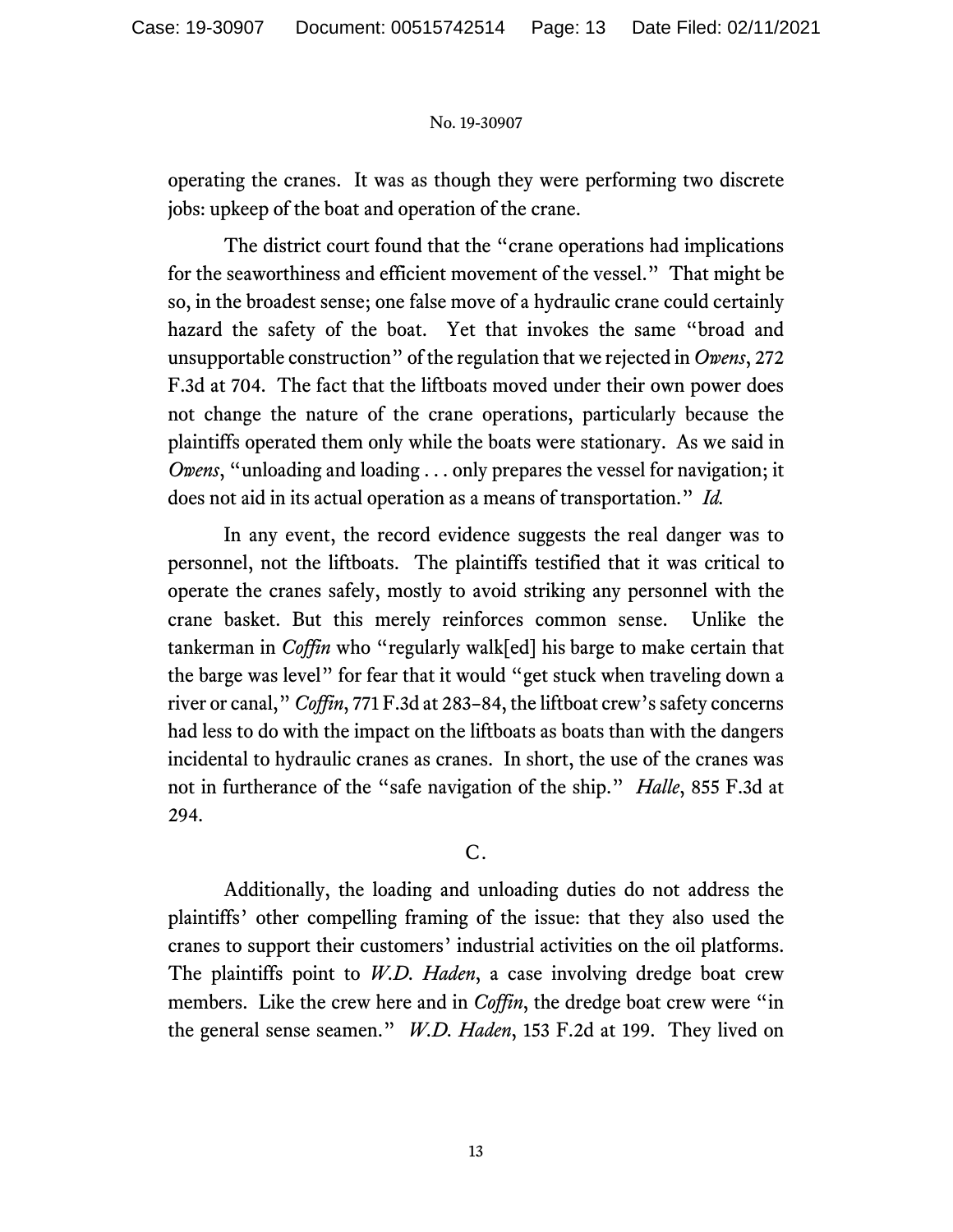operating the cranes. It was as though they were performing two discrete jobs: upkeep of the boat and operation of the crane.

The district court found that the "crane operations had implications for the seaworthiness and efficient movement of the vessel." That might be so, in the broadest sense; one false move of a hydraulic crane could certainly hazard the safety of the boat. Yet that invokes the same "broad and unsupportable construction" of the regulation that we rejected in *Owens*, 272 F.3d at 704. The fact that the liftboats moved under their own power does not change the nature of the crane operations, particularly because the plaintiffs operated them only while the boats were stationary. As we said in *Owens*, "unloading and loading . . . only prepares the vessel for navigation; it does not aid in its actual operation as a means of transportation." *Id.*

In any event, the record evidence suggests the real danger was to personnel, not the liftboats. The plaintiffs testified that it was critical to operate the cranes safely, mostly to avoid striking any personnel with the crane basket. But this merely reinforces common sense. Unlike the tankerman in *Coffin* who "regularly walk[ed] his barge to make certain that the barge was level" for fear that it would "get stuck when traveling down a river or canal," *Coffin*, 771 F.3d at 283–84, the liftboat crew's safety concerns had less to do with the impact on the liftboats as boats than with the dangers incidental to hydraulic cranes as cranes. In short, the use of the cranes was not in furtherance of the "safe navigation of the ship." *Halle*, 855 F.3d at 294.

## C.

Additionally, the loading and unloading duties do not address the plaintiffs' other compelling framing of the issue: that they also used the cranes to support their customers' industrial activities on the oil platforms. The plaintiffs point to *W.D. Haden*, a case involving dredge boat crew members. Like the crew here and in *Coffin*, the dredge boat crew were "in the general sense seamen." *W.D. Haden*, 153 F.2d at 199. They lived on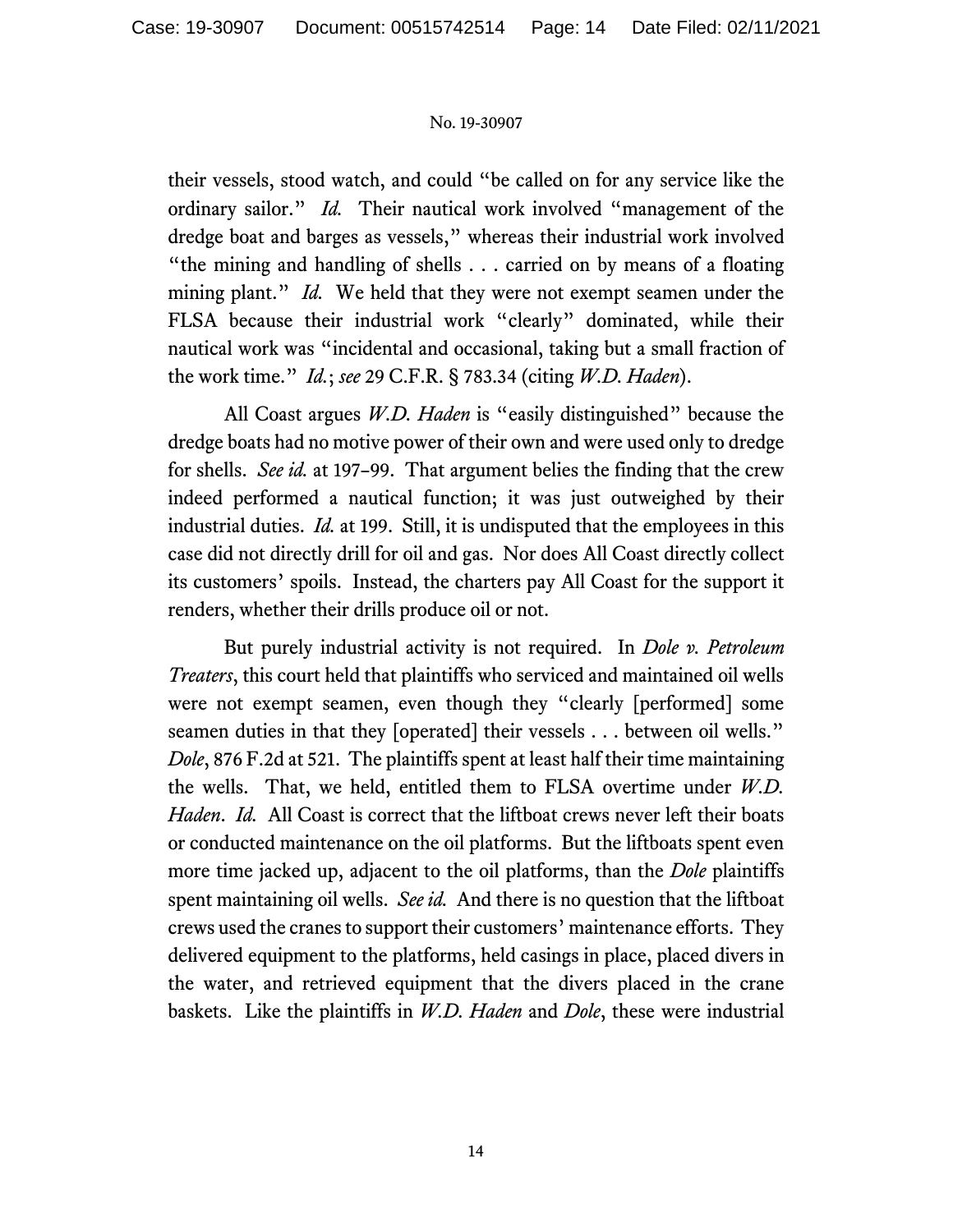their vessels, stood watch, and could "be called on for any service like the ordinary sailor." *Id.* Their nautical work involved "management of the dredge boat and barges as vessels," whereas their industrial work involved "the mining and handling of shells . . . carried on by means of a floating mining plant." *Id.* We held that they were not exempt seamen under the FLSA because their industrial work "clearly" dominated, while their nautical work was "incidental and occasional, taking but a small fraction of the work time." *Id.*; *see* 29 C.F.R. § 783.34 (citing *W.D. Haden*).

All Coast argues *W.D. Haden* is "easily distinguished" because the dredge boats had no motive power of their own and were used only to dredge for shells. *See id.* at 197–99. That argument belies the finding that the crew indeed performed a nautical function; it was just outweighed by their industrial duties. *Id.* at 199. Still, it is undisputed that the employees in this case did not directly drill for oil and gas. Nor does All Coast directly collect its customers' spoils. Instead, the charters pay All Coast for the support it renders, whether their drills produce oil or not.

But purely industrial activity is not required. In *Dole v. Petroleum Treaters*, this court held that plaintiffs who serviced and maintained oil wells were not exempt seamen, even though they "clearly [performed] some seamen duties in that they [operated] their vessels . . . between oil wells." *Dole*, 876 F.2d at 521. The plaintiffs spent at least half their time maintaining the wells. That, we held, entitled them to FLSA overtime under *W.D. Haden*. *Id.* All Coast is correct that the liftboat crews never left their boats or conducted maintenance on the oil platforms. But the liftboats spent even more time jacked up, adjacent to the oil platforms, than the *Dole* plaintiffs spent maintaining oil wells. *See id.* And there is no question that the liftboat crews used the cranes to support their customers' maintenance efforts. They delivered equipment to the platforms, held casings in place, placed divers in the water, and retrieved equipment that the divers placed in the crane baskets. Like the plaintiffs in *W.D. Haden* and *Dole*, these were industrial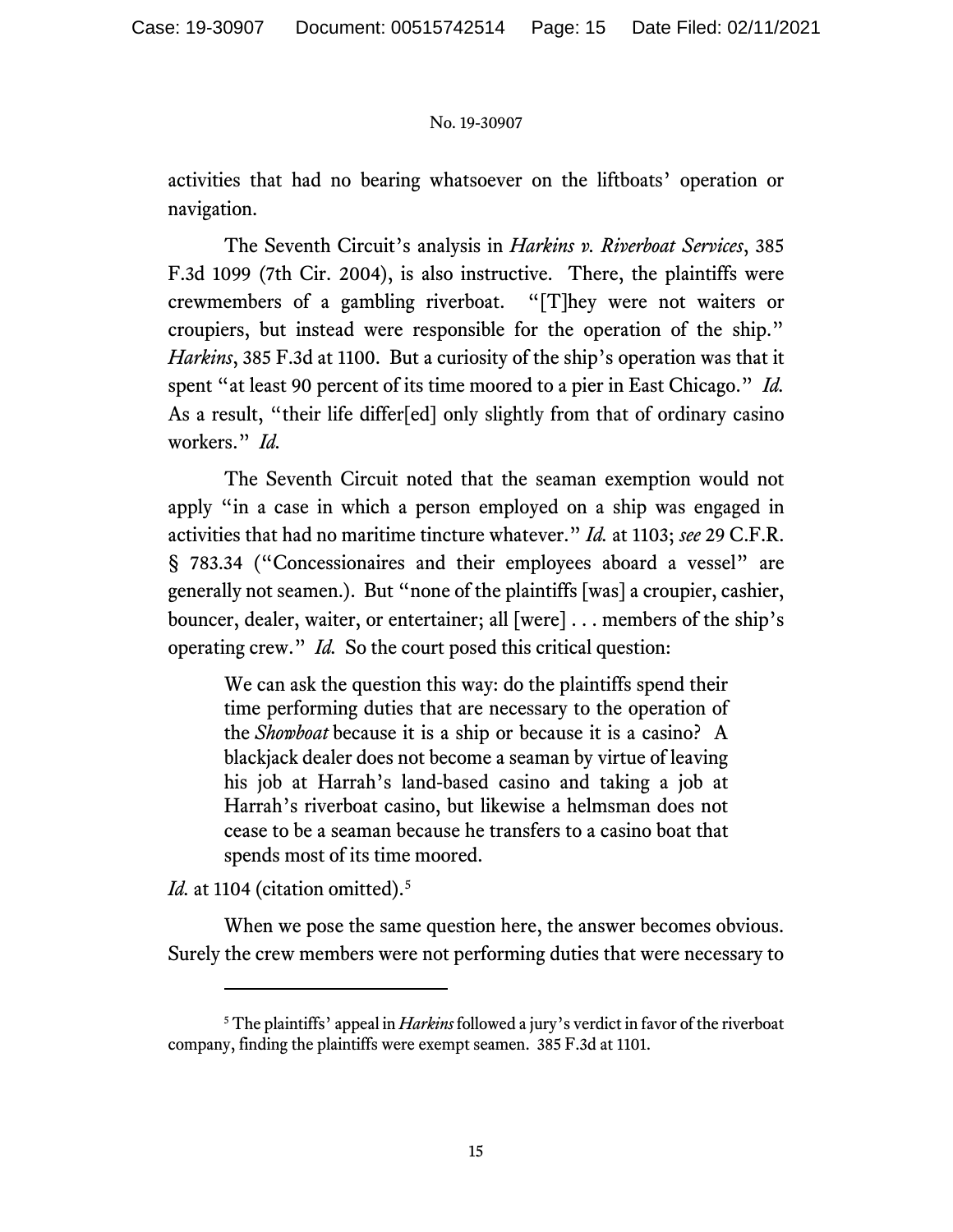activities that had no bearing whatsoever on the liftboats' operation or navigation.

The Seventh Circuit's analysis in *Harkins v. Riverboat Services*, 385 F.3d 1099 (7th Cir. 2004), is also instructive. There, the plaintiffs were crewmembers of a gambling riverboat. "[T]hey were not waiters or croupiers, but instead were responsible for the operation of the ship." *Harkins*, 385 F.3d at 1100. But a curiosity of the ship's operation was that it spent "at least 90 percent of its time moored to a pier in East Chicago." *Id.* As a result, "their life differ[ed] only slightly from that of ordinary casino workers." *Id.*

The Seventh Circuit noted that the seaman exemption would not apply "in a case in which a person employed on a ship was engaged in activities that had no maritime tincture whatever." *Id.* at 1103; *see* 29 C.F.R. § 783.34 ("Concessionaires and their employees aboard a vessel" are generally not seamen.). But "none of the plaintiffs [was] a croupier, cashier, bouncer, dealer, waiter, or entertainer; all [were] . . . members of the ship's operating crew." *Id.* So the court posed this critical question:

We can ask the question this way: do the plaintiffs spend their time performing duties that are necessary to the operation of the *Showboat* because it is a ship or because it is a casino? A blackjack dealer does not become a seaman by virtue of leaving his job at Harrah's land-based casino and taking a job at Harrah's riverboat casino, but likewise a helmsman does not cease to be a seaman because he transfers to a casino boat that spends most of its time moored.

*Id.* at 1104 (citation omitted).<sup>[5](#page-14-0)</sup>

When we pose the same question here, the answer becomes obvious. Surely the crew members were not performing duties that were necessary to

<span id="page-14-0"></span><sup>5</sup> The plaintiffs' appeal in *Harkins* followed a jury's verdict in favor of the riverboat company, finding the plaintiffs were exempt seamen. 385 F.3d at 1101.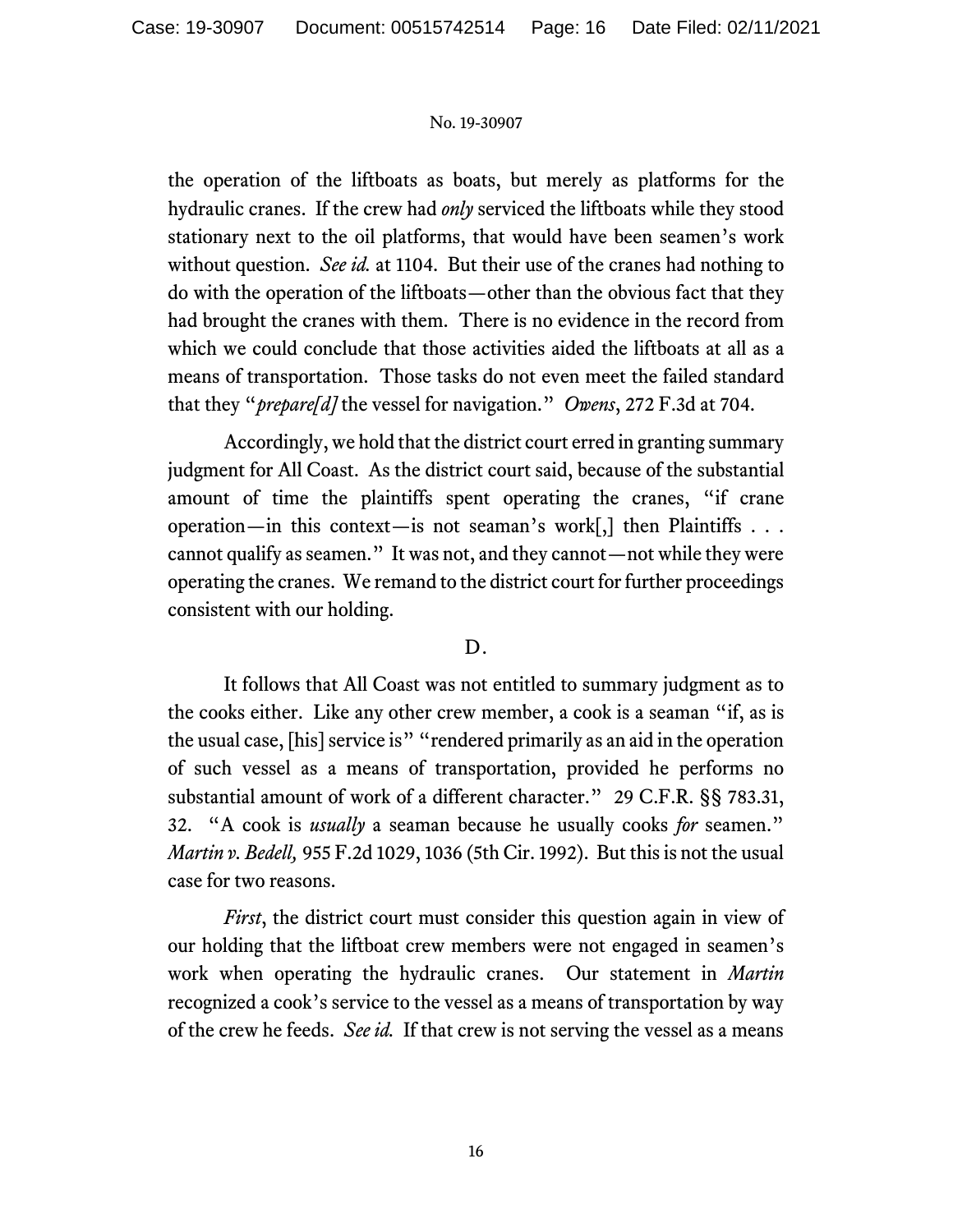the operation of the liftboats as boats, but merely as platforms for the hydraulic cranes. If the crew had *only* serviced the liftboats while they stood stationary next to the oil platforms, that would have been seamen's work without question. *See id.* at 1104. But their use of the cranes had nothing to do with the operation of the liftboats—other than the obvious fact that they had brought the cranes with them. There is no evidence in the record from which we could conclude that those activities aided the liftboats at all as a means of transportation. Those tasks do not even meet the failed standard that they "*prepare[d]* the vessel for navigation." *Owens*, 272 F.3d at 704.

Accordingly, we hold that the district court erred in granting summary judgment for All Coast. As the district court said, because of the substantial amount of time the plaintiffs spent operating the cranes, "if crane operation—in this context—is not seaman's work[,] then Plaintiffs . . . cannot qualify as seamen." It was not, and they cannot—not while they were operating the cranes. We remand to the district court for further proceedings consistent with our holding.

## D.

It follows that All Coast was not entitled to summary judgment as to the cooks either. Like any other crew member, a cook is a seaman "if, as is the usual case, [his] service is" "rendered primarily as an aid in the operation of such vessel as a means of transportation, provided he performs no substantial amount of work of a different character." 29 C.F.R. §§ 783.31, 32. "A cook is *usually* a seaman because he usually cooks *for* seamen." *Martin v. Bedell,* 955 F.2d 1029, 1036 (5th Cir. 1992). But this is not the usual case for two reasons.

*First*, the district court must consider this question again in view of our holding that the liftboat crew members were not engaged in seamen's work when operating the hydraulic cranes. Our statement in *Martin* recognized a cook's service to the vessel as a means of transportation by way of the crew he feeds. *See id.* If that crew is not serving the vessel as a means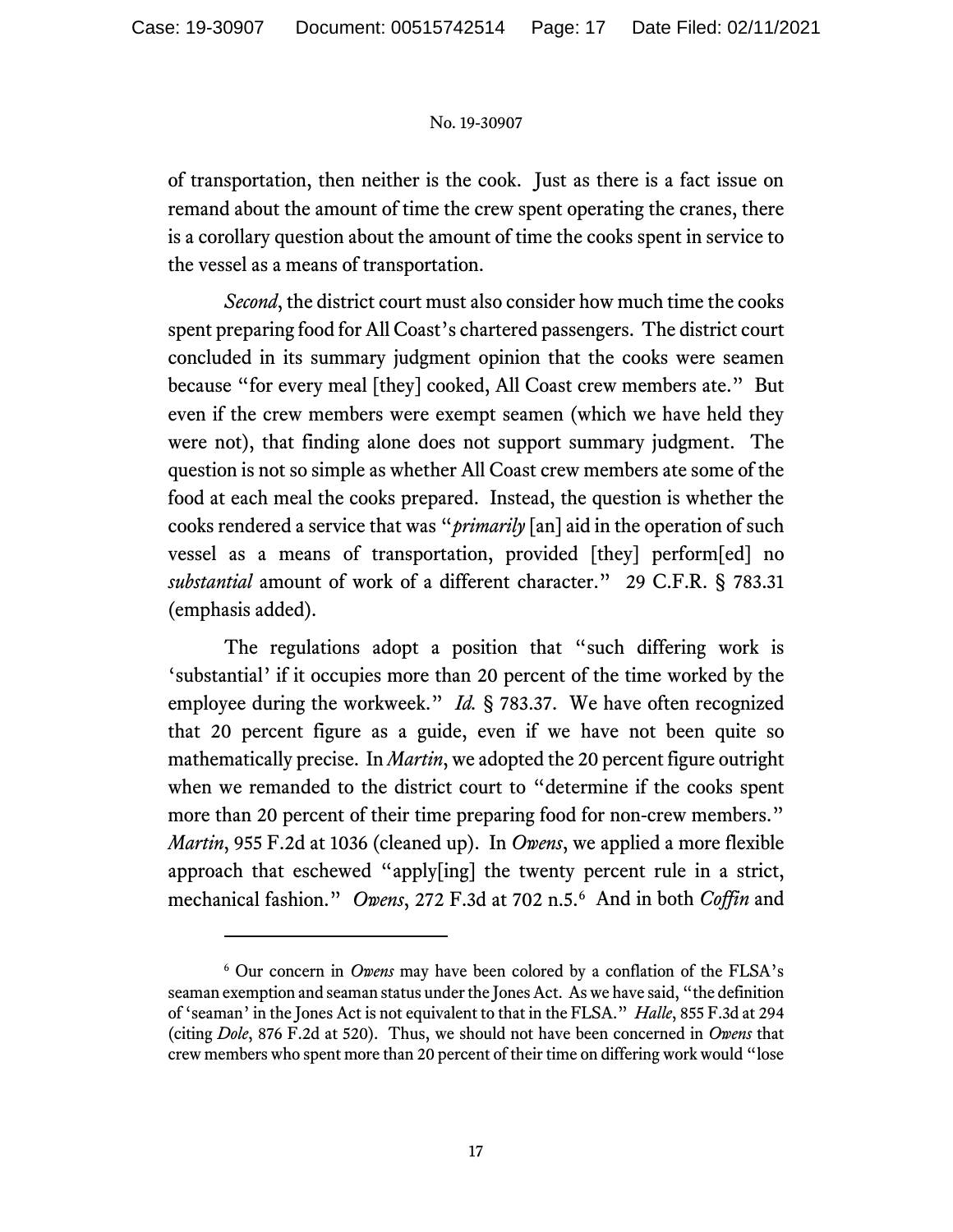of transportation, then neither is the cook. Just as there is a fact issue on remand about the amount of time the crew spent operating the cranes, there is a corollary question about the amount of time the cooks spent in service to the vessel as a means of transportation.

*Second*, the district court must also consider how much time the cooks spent preparing food for All Coast's chartered passengers. The district court concluded in its summary judgment opinion that the cooks were seamen because "for every meal [they] cooked, All Coast crew members ate." But even if the crew members were exempt seamen (which we have held they were not), that finding alone does not support summary judgment. The question is not so simple as whether All Coast crew members ate some of the food at each meal the cooks prepared. Instead, the question is whether the cooks rendered a service that was "*primarily* [an] aid in the operation of such vessel as a means of transportation, provided [they] perform[ed] no *substantial* amount of work of a different character." 29 C.F.R. § 783.31 (emphasis added).

The regulations adopt a position that "such differing work is 'substantial' if it occupies more than 20 percent of the time worked by the employee during the workweek." *Id.* § 783.37. We have often recognized that 20 percent figure as a guide, even if we have not been quite so mathematically precise. In *Martin*, we adopted the 20 percent figure outright when we remanded to the district court to "determine if the cooks spent more than 20 percent of their time preparing food for non-crew members." *Martin*, 955 F.2d at 1036 (cleaned up). In *Owens*, we applied a more flexible approach that eschewed "apply[ing] the twenty percent rule in a strict, mechanical fashion." *Owens*, 272 F.3d at 702 n.5.[6](#page-16-0) And in both *Coffin* and

<span id="page-16-0"></span><sup>6</sup> Our concern in *Owens* may have been colored by a conflation of the FLSA's seaman exemption and seaman status under the Jones Act. As we have said, "the definition of 'seaman' in the Jones Act is not equivalent to that in the FLSA." *Halle*, 855 F.3d at 294 (citing *Dole*, 876 F.2d at 520). Thus, we should not have been concerned in *Owens* that crew members who spent more than 20 percent of their time on differing work would "lose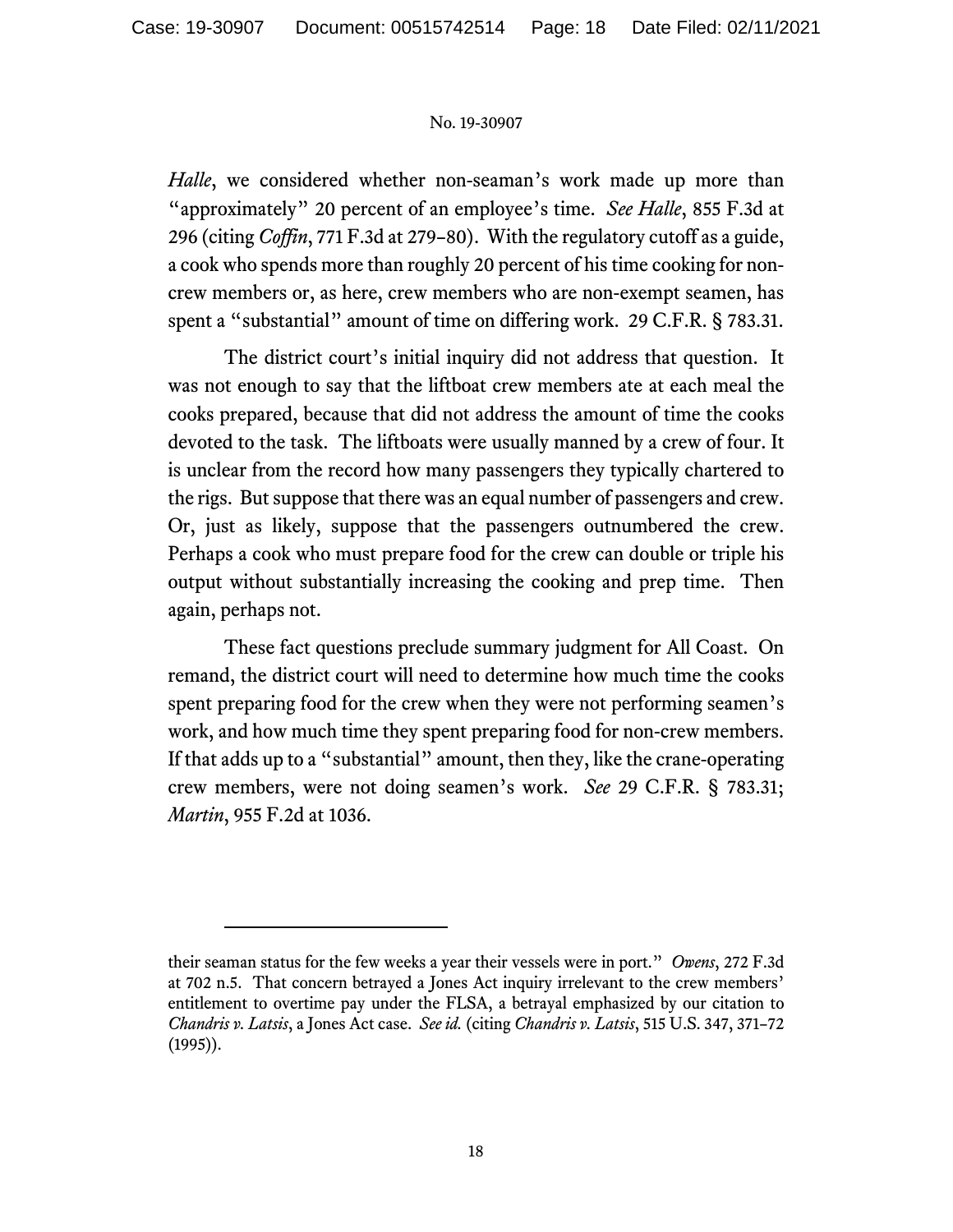*Halle*, we considered whether non-seaman's work made up more than "approximately" 20 percent of an employee's time. *See Halle*, 855 F.3d at 296 (citing *Coffin*, 771 F.3d at 279–80). With the regulatory cutoff as a guide, a cook who spends more than roughly 20 percent of his time cooking for noncrew members or, as here, crew members who are non-exempt seamen, has spent a "substantial" amount of time on differing work. 29 C.F.R. § 783.31.

The district court's initial inquiry did not address that question. It was not enough to say that the liftboat crew members ate at each meal the cooks prepared, because that did not address the amount of time the cooks devoted to the task. The liftboats were usually manned by a crew of four. It is unclear from the record how many passengers they typically chartered to the rigs. But suppose that there was an equal number of passengers and crew. Or, just as likely, suppose that the passengers outnumbered the crew. Perhaps a cook who must prepare food for the crew can double or triple his output without substantially increasing the cooking and prep time. Then again, perhaps not.

These fact questions preclude summary judgment for All Coast. On remand, the district court will need to determine how much time the cooks spent preparing food for the crew when they were not performing seamen's work, and how much time they spent preparing food for non-crew members. If that adds up to a "substantial" amount, then they, like the crane-operating crew members, were not doing seamen's work. *See* 29 C.F.R. § 783.31; *Martin*, 955 F.2d at 1036.

their seaman status for the few weeks a year their vessels were in port." *Owens*, 272 F.3d at 702 n.5. That concern betrayed a Jones Act inquiry irrelevant to the crew members' entitlement to overtime pay under the FLSA, a betrayal emphasized by our citation to *Chandris v. Latsis*, a Jones Act case. *See id.* (citing *Chandris v. Latsis*, 515 U.S. 347, 371–72 (1995)).